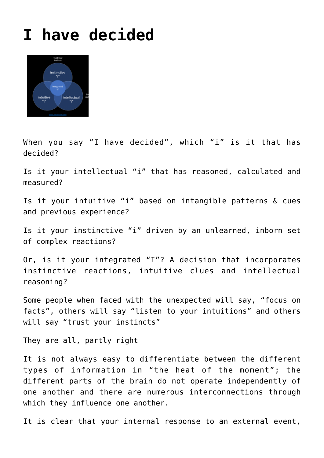## **[I have decided](http://boblarcher.com/personal-development/i-have-decided/)**



When you say "I have decided", which "i" is it that has decided?

Is it your intellectual "i" that has reasoned, calculated and measured?

Is it your intuitive "i" based on intangible patterns & cues and previous experience?

Is it your instinctive "i" driven by an unlearned, inborn set of complex reactions?

Or, is it your integrated "I"? A decision that incorporates instinctive reactions, intuitive clues and intellectual reasoning?

Some people when faced with the unexpected will say, "focus on facts", others will say "listen to your intuitions" and others will say "trust your instincts"

They are all, partly right

It is not always easy to differentiate between the different types of information in "the heat of the moment"; the different parts of the brain do not operate independently of one another and there are numerous interconnections through which they influence one another.

It is clear that your internal response to an external event,